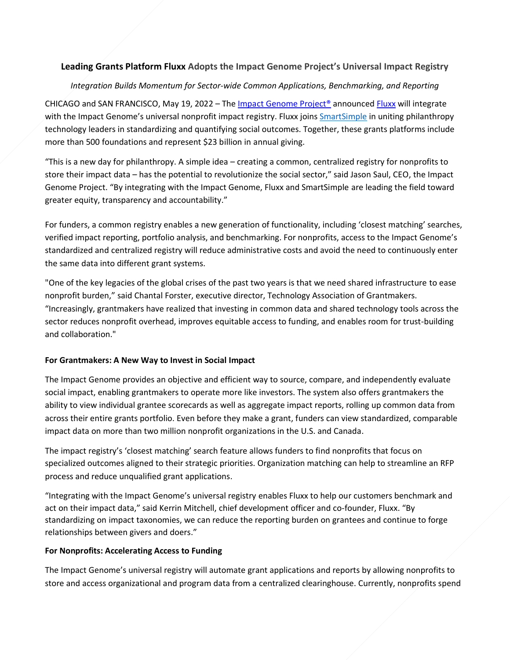# **Leading Grants Platform Fluxx Adopts the Impact Genome Project's Universal Impact Registry**

# *Integration Builds Momentum for Sector-wide Common Applications, Benchmarking, and Reporting*  CHICAGO and SAN FRANCISCO, May 19, 2022 – Th[e Impact Genome Project®](https://impactgenome.org/) announced [Fluxx](https://www.fluxx.io/) will integrate with the Impact Genome's universal nonprofit impact registry. Fluxx joins [SmartSimple](https://www.smartsimple.com/) in uniting philanthropy technology leaders in standardizing and quantifying social outcomes. Together, these grants platforms include more than 500 foundations and represent \$23 billion in annual giving.

"This is a new day for philanthropy. A simple idea – creating a common, centralized registry for nonprofits to store their impact data – has the potential to revolutionize the social sector," said Jason Saul, CEO, the Impact Genome Project. "By integrating with the Impact Genome, Fluxx and SmartSimple are leading the field toward greater equity, transparency and accountability."

For funders, a common registry enables a new generation of functionality, including 'closest matching' searches, verified impact reporting, portfolio analysis, and benchmarking. For nonprofits, access to the Impact Genome's standardized and centralized registry will reduce administrative costs and avoid the need to continuously enter the same data into different grant systems.

"One of the key legacies of the global crises of the past two years is that we need shared infrastructure to ease nonprofit burden," said Chantal Forster, executive director, Technology Association of Grantmakers. "Increasingly, grantmakers have realized that investing in common data and shared technology tools across the sector reduces nonprofit overhead, improves equitable access to funding, and enables room for trust-building and collaboration."

# **For Grantmakers: A New Way to Invest in Social Impact**

The Impact Genome provides an objective and efficient way to source, compare, and independently evaluate social impact, enabling grantmakers to operate more like investors. The system also offers grantmakers the ability to view individual grantee scorecards as well as aggregate impact reports, rolling up common data from across their entire grants portfolio. Even before they make a grant, funders can view standardized, comparable impact data on more than two million nonprofit organizations in the U.S. and Canada.

The impact registry's 'closest matching' search feature allows funders to find nonprofits that focus on specialized outcomes aligned to their strategic priorities. Organization matching can help to streamline an RFP process and reduce unqualified grant applications.

"Integrating with the Impact Genome's universal registry enables Fluxx to help our customers benchmark and act on their impact data," said Kerrin Mitchell, chief development officer and co-founder, Fluxx. "By standardizing on impact taxonomies, we can reduce the reporting burden on grantees and continue to forge relationships between givers and doers."

### **For Nonprofits: Accelerating Access to Funding**

The Impact Genome's universal registry will automate grant applications and reports by allowing nonprofits to store and access organizational and program data from a centralized clearinghouse. Currently, nonprofits spend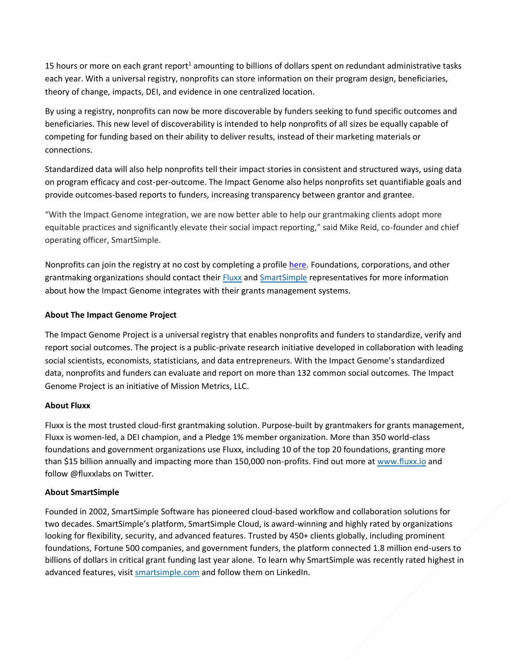15 hours or more on each grant report<sup>1</sup> amounting to billions of dollars spent on redundant administrative tasks each year. With a universal registry, nonprofits can store information on their program design, beneficiaries, theory of change, impacts, DEI, and evidence in one centralized location.

By using a registry, nonprofits can now be more discoverable by funders seeking to fund specific outcomes and beneficiaries. This new level of discoverability is intended to help nonprofits of all sizes be equally capable of competing for funding based on their ability to deliver results, instead of their marketing materials or connections.

Standardized data will also help nonprofits tell their impact stories in consistent and structured ways, using data on program efficacy and cost-per-outcome. The Impact Genome also helps nonprofits set quantifiable goals and provide outcomes-based reports to funders, increasing transparency between grantor and grantee.

"With the Impact Genome integration, we are now better able to help our grantmaking clients adopt more equitable practices and significantly elevate their social impact reporting," said Mike Reid, co-founder and chief operating officer, SmartSimple.

Nonprofits can join the registry at no cost by completing a profile [here.](https://impactgenome.org/nonprofits/) Foundations, corporations, and other grantmaking organizations should contact their [Fluxx](https://www.fluxx.io/) and [SmartSimple](https://www.smartsimple.com/) representatives for more information about how the Impact Genome integrates with their grants management systems.

## **About The Impact Genome Project**

The Impact Genome Project is a universal registry that enables nonprofits and funders to standardize, verify and report social outcomes. The project is a public-private research initiative developed in collaboration with leading social scientists, economists, statisticians, and data entrepreneurs. With the Impact Genome's standardized data, nonprofits and funders can evaluate and report on more than 132 common social outcomes. The Impact Genome Project is an initiative of Mission Metrics, LLC.

### **About Fluxx**

Fluxx is the most trusted cloud-first grantmaking solution. Purpose-built by grantmakers for grants management, Fluxx is women-led, a DEI champion, and a Pledge 1% member organization. More than 350 world-class foundations and government organizations use Fluxx, including 10 of the top 20 foundations, granting more than \$15 billion annually and impacting more than 150,000 non-profits. Find out more at [www.fluxx.io](http://www.fluxx.io/) and follow @fluxxlabs on Twitter.

### **About SmartSimple**

Founded in 2002, SmartSimple Software has pioneered cloud-based workflow and collaboration solutions for two decades. SmartSimple's platform, SmartSimple Cloud, is award-winning and highly rated by organizations looking for flexibility, security, and advanced features. Trusted by 450+ clients globally, including prominent foundations, Fortune 500 companies, and government funders, the platform connected 1.8 million end-users to billions of dollars in critical grant funding last year alone. To learn why SmartSimple was recently rated highest in advanced features, visit [smartsimple.com](http://smartsimple.com/) and follow them on LinkedIn.